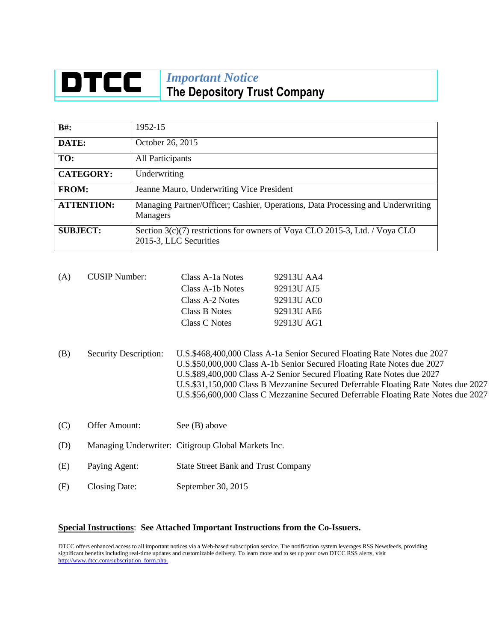## **DTCC** *Important Notice* **The Depository Trust Company**

| $B#$ :            | 1952-15                                                                                               |  |
|-------------------|-------------------------------------------------------------------------------------------------------|--|
| DATE:             | October 26, 2015                                                                                      |  |
| TO:               | All Participants                                                                                      |  |
| <b>CATEGORY:</b>  | Underwriting                                                                                          |  |
| <b>FROM:</b>      | Jeanne Mauro, Underwriting Vice President                                                             |  |
| <b>ATTENTION:</b> | Managing Partner/Officer; Cashier, Operations, Data Processing and Underwriting<br><b>Managers</b>    |  |
| <b>SUBJECT:</b>   | Section 3(c)(7) restrictions for owners of Voya CLO 2015-3, Ltd. / Voya CLO<br>2015-3, LLC Securities |  |

| (A) | <b>CUSIP</b> Number: | Class A-1a Notes | 92913U AA4 |
|-----|----------------------|------------------|------------|
|     |                      | Class A-1b Notes | 92913U AJ5 |
|     |                      | Class A-2 Notes  | 92913U AC0 |
|     |                      | Class B Notes    | 92913U AE6 |
|     |                      | Class C Notes    | 92913U AG1 |
|     |                      |                  |            |

- (B) Security Description: U.S.\$468,400,000 Class A-1a Senior Secured Floating Rate Notes due 2027 U.S.\$50,000,000 Class A-1b Senior Secured Floating Rate Notes due 2027 U.S.\$89,400,000 Class A-2 Senior Secured Floating Rate Notes due 2027 U.S.\$31,150,000 Class B Mezzanine Secured Deferrable Floating Rate Notes due 2027 U.S.\$56,600,000 Class C Mezzanine Secured Deferrable Floating Rate Notes due 2027
- (C) Offer Amount: See (B) above
- (D) Managing Underwriter: Citigroup Global Markets Inc.
- (E) Paying Agent: State Street Bank and Trust Company
- (F) Closing Date: September 30, 2015

## **Special Instructions**: **See Attached Important Instructions from the Co-Issuers.**

DTCC offers enhanced access to all important notices via a Web-based subscription service. The notification system leverages RSS Newsfeeds, providing significant benefits including real-time updates and customizable delivery. To learn more and to set up your own DTCC RSS alerts, visit [http://www.dtcc.com/subscription\\_form.php.](http://www.dtcc.com/subscription_form.php.)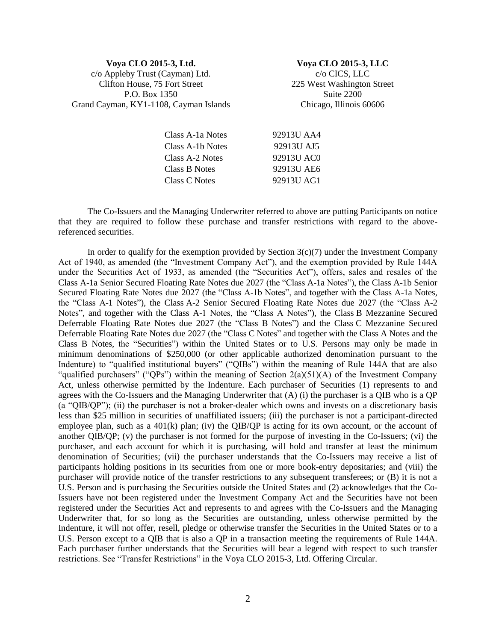## **Voya CLO 2015-3, Ltd.** c/o Appleby Trust (Cayman) Ltd. Clifton House, 75 Fort Street P.O. Box 1350 Grand Cayman, KY1-1108, Cayman Islands

**Voya CLO 2015-3, LLC** c/o CICS, LLC 225 West Washington Street Suite 2200 Chicago, Illinois 60606

| Class A-1a Notes | 92913U AA4 |
|------------------|------------|
| Class A-1b Notes | 92913U AJ5 |
| Class A-2 Notes  | 92913U AC0 |
| Class B Notes    | 92913U AE6 |
| Class C Notes    | 92913U AG1 |

The Co-Issuers and the Managing Underwriter referred to above are putting Participants on notice that they are required to follow these purchase and transfer restrictions with regard to the abovereferenced securities.

In order to qualify for the exemption provided by Section  $3(c)(7)$  under the Investment Company Act of 1940, as amended (the "Investment Company Act"), and the exemption provided by Rule 144A under the Securities Act of 1933, as amended (the "Securities Act"), offers, sales and resales of the Class A-1a Senior Secured Floating Rate Notes due 2027 (the "Class A-1a Notes"), the Class A-1b Senior Secured Floating Rate Notes due 2027 (the "Class A-1b Notes", and together with the Class A-1a Notes, the "Class A-1 Notes"), the Class A-2 Senior Secured Floating Rate Notes due 2027 (the "Class A-2 Notes", and together with the Class A-1 Notes, the "Class A Notes"), the Class B Mezzanine Secured Deferrable Floating Rate Notes due 2027 (the "Class B Notes") and the Class C Mezzanine Secured Deferrable Floating Rate Notes due 2027 (the "Class C Notes" and together with the Class A Notes and the Class B Notes, the "Securities") within the United States or to U.S. Persons may only be made in minimum denominations of \$250,000 (or other applicable authorized denomination pursuant to the Indenture) to "qualified institutional buyers" ("QIBs") within the meaning of Rule 144A that are also "qualified purchasers" ("QPs") within the meaning of Section  $2(a)(51)(A)$  of the Investment Company Act, unless otherwise permitted by the Indenture. Each purchaser of Securities (1) represents to and agrees with the Co-Issuers and the Managing Underwriter that (A) (i) the purchaser is a QIB who is a QP (a "QIB/QP"); (ii) the purchaser is not a broker-dealer which owns and invests on a discretionary basis less than \$25 million in securities of unaffiliated issuers; (iii) the purchaser is not a participant-directed employee plan, such as a  $401(k)$  plan; (iv) the QIB/QP is acting for its own account, or the account of another QIB/QP; (v) the purchaser is not formed for the purpose of investing in the Co-Issuers; (vi) the purchaser, and each account for which it is purchasing, will hold and transfer at least the minimum denomination of Securities; (vii) the purchaser understands that the Co-Issuers may receive a list of participants holding positions in its securities from one or more book-entry depositaries; and (viii) the purchaser will provide notice of the transfer restrictions to any subsequent transferees; or (B) it is not a U.S. Person and is purchasing the Securities outside the United States and (2) acknowledges that the Co-Issuers have not been registered under the Investment Company Act and the Securities have not been registered under the Securities Act and represents to and agrees with the Co-Issuers and the Managing Underwriter that, for so long as the Securities are outstanding, unless otherwise permitted by the Indenture, it will not offer, resell, pledge or otherwise transfer the Securities in the United States or to a U.S. Person except to a QIB that is also a QP in a transaction meeting the requirements of Rule 144A. Each purchaser further understands that the Securities will bear a legend with respect to such transfer restrictions. See "Transfer Restrictions" in the Voya CLO 2015-3, Ltd. Offering Circular.